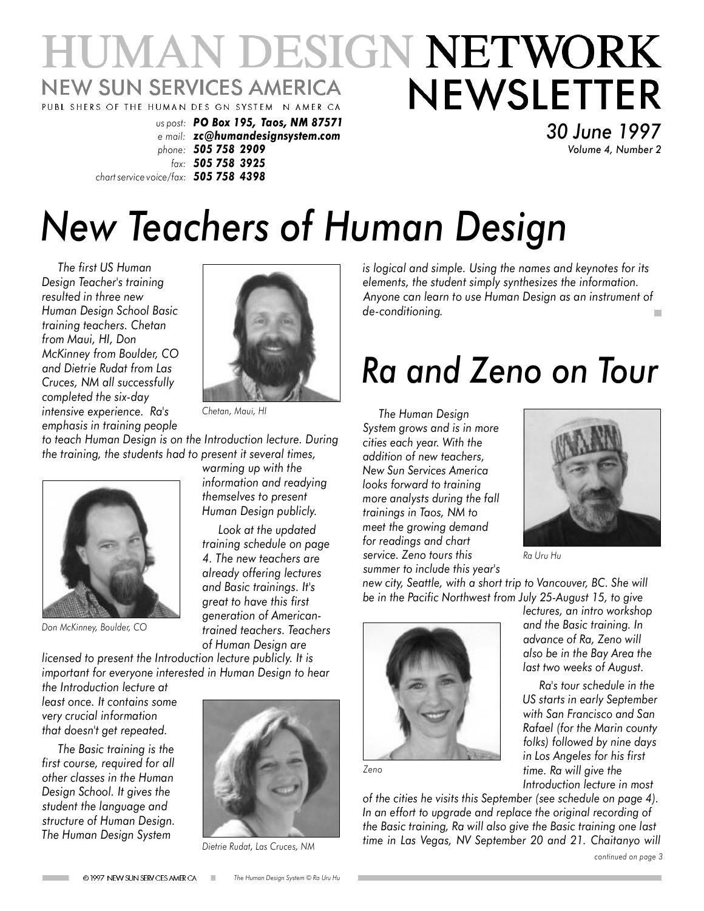### **HUMAN DESIGN NETWORK NEWSLETTER NEW SUN SERVICES AMERICA** PUBL SHERS OF THE HUMAN DES GN SYSTEM N AMER CA

*us post: PO Box 195, Taos, NM 87571 e mail: zc@humandesignsystem.com phone: 505 758 2909 fax: 505 758 3925 chart service voice/fax: 505 758 4398*

*30 June 1997 Volume 4, Number 2*

# *New Teachers of Human Design*

*The first US Human Design Teacher's training resulted in three new Human Design School Basic training teachers. Chetan from Maui, HI, Don McKinney from Boulder, CO and Dietrie Rudat from Las Cruces, NM all successfully completed the six-day intensive experience. Ra's emphasis in training people*



*Chetan, Maui, HI*

*warming up with the to teach Human Design is on the Introduction lecture. During the training, the students had to present it several times,*



*Don McKinney, Boulder, CO*

*Look at the updated training schedule on page 4. The new teachers are already offering lectures*

> *and Basic trainings. It's great to have this first generation of Americantrained teachers. Teachers of Human Design are*

*information and readying themselves to present Human Design publicly.*

*licensed to present the Introduction lecture publicly. It is important for everyone interested in Human Design to hear*

*the Introduction lecture at least once. It contains some very crucial information that doesn't get repeated.*

*The Basic training is the first course, required for all other classes in the Human Design School. It gives the student the language and structure of Human Design. The Human Design System*



*Dietrie Rudat, Las Cruces, NM*

*is logical and simple. Using the names and keynotes for its elements, the student simply synthesizes the information. Anyone can learn to use Human Design as an instrument of de-conditioning.*

## *Ra and Zeno on Tour*

*The Human Design System grows and is in more cities each year. With the addition of new teachers, New Sun Services America looks forward to training more analysts during the fall trainings in Taos, NM to meet the growing demand for readings and chart service. Zeno tours this summer to include this year's*



*lectures, an intro workshop and the Basic training. In advance of Ra, Zeno will also be in the Bay Area the last two weeks of August.*

*Ra's tour schedule in the US starts in early September with San Francisco and San Rafael (for the Marin county folks) followed by nine days in Los Angeles for his first time. Ra will give the*

*Ra Uru Hu*

*new city, Seattle, with a short trip to Vancouver, BC. She will be in the Pacific Northwest from July 25-August 15, to give*



*Zeno*

*Introduction lecture in most of the cities he visits this September (see schedule on page 4). In an effort to upgrade and replace the original recording of the Basic training, Ra will also give the Basic training one last time in Las Vegas, NV September 20 and 21. Chaitanyo will*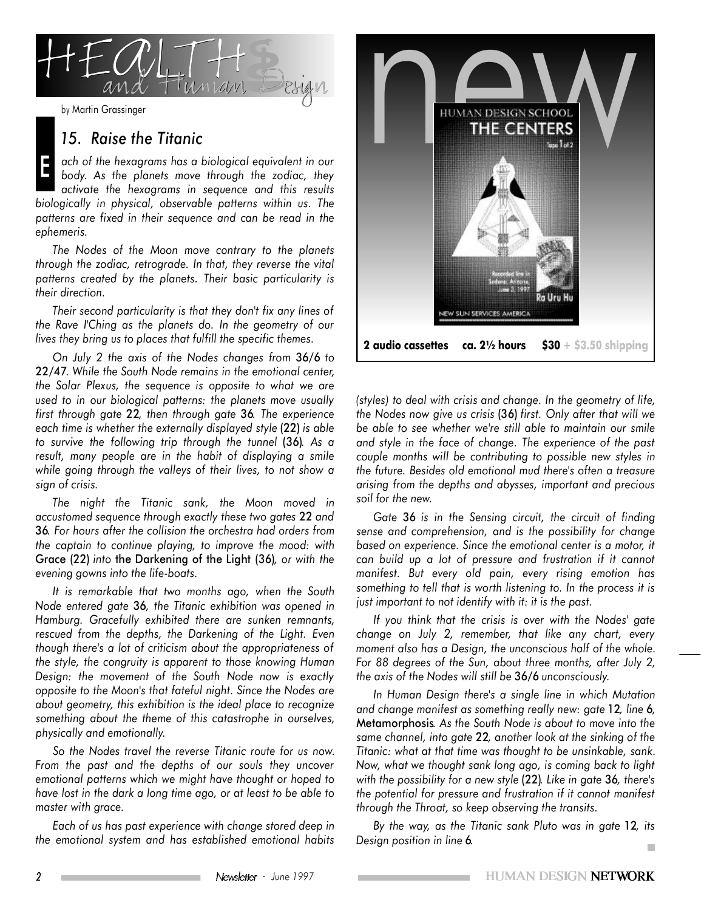

#### *15. Raise the Titanic*

E *ach of the hexagrams has a biological equivalent in our body. As the planets move through the zodiac, they activate the hexagrams in sequence and this results biologically in physical, observable patterns within us. The patterns are fixed in their sequence and can be read in the ephemeris.*

*The Nodes of the Moon move contrary to the planets through the zodiac, retrograde. In that, they reverse the vital patterns created by the planets. Their basic particularity is their direction.*

*Their second particularity is that they don't fix any lines of the Rave I'Ching as the planets do. In the geometry of our lives they bring us to places that fulfill the specific themes.*

*On July 2 the axis of the Nodes changes from* 36/6 *to* 22/47*. While the South Node remains in the emotional center, the Solar Plexus, the sequence is opposite to what we are used to in our biological patterns: the planets move usually first through gate* 22*, then through gate* 36*. The experience each time is whether the externally displayed style* (22) *is able to survive the following trip through the tunnel* (36)*. As a result, many people are in the habit of displaying a smile while going through the valleys of their lives, to not show a sign of crisis.*

*The night the Titanic sank, the Moon moved in accustomed sequence through exactly these two gates* 22 *and* 36*. For hours after the collision the orchestra had orders from the captain to continue playing, to improve the mood: with* Grace (22) *into* the Darkening of the Light (36)*, or with the evening gowns into the life-boats.*

*It is remarkable that two months ago, when the South Node entered gate* 36*, the Titanic exhibition was opened in Hamburg. Gracefully exhibited there are sunken remnants, rescued from the depths, the Darkening of the Light. Even though there's a lot of criticism about the appropriateness of the style, the congruity is apparent to those knowing Human Design: the movement of the South Node now is exactly opposite to the Moon's that fateful night. Since the Nodes are about geometry, this exhibition is the ideal place to recognize something about the theme of this catastrophe in ourselves, physically and emotionally.*

*So the Nodes travel the reverse Titanic route for us now. From the past and the depths of our souls they uncover emotional patterns which we might have thought or hoped to have lost in the dark a long time ago, or at least to be able to master with grace.*

*Each of us has past experience with change stored deep in the emotional system and has established emotional habits*



*(styles) to deal with crisis and change. In the geometry of life, the Nodes now give us crisis* (36) *first. Only after that will we be able to see whether we're still able to maintain our smile and style in the face of change. The experience of the past couple months will be contributing to possible new styles in the future. Besides old emotional mud there's often a treasure arising from the depths and abysses, important and precious soil for the new.*

*Gate* 36 *is in the Sensing circuit, the circuit of finding sense and comprehension, and is the possibility for change based on experience. Since the emotional center is a motor, it can build up a lot of pressure and frustration if it cannot manifest. But every old pain, every rising emotion has something to tell that is worth listening to. In the process it is just important to not identify with it: it is the past.*

*If you think that the crisis is over with the Nodes' gate change on July 2, remember, that like any chart, every moment also has a Design, the unconscious half of the whole. For 88 degrees of the Sun, about three months, after July 2, the axis of the Nodes will still be* 36/6 *unconsciously.*

*In Human Design there's a single line in which Mutation and change manifest as something really new: gate* 12*, line* 6*,* Metamorphosis*. As the South Node is about to move into the same channel, into gate* 22*, another look at the sinking of the Titanic: what at that time was thought to be unsinkable, sank. Now, what we thought sank long ago, is coming back to light with the possibility for a new style* (22)*. Like in gate* 36*, there's the potential for pressure and frustration if it cannot manifest through the Throat, so keep observing the transits.*

*By the way, as the Titanic sank Pluto was in gate* 12*, its Design position in line* 6*.* $\overline{\phantom{a}}$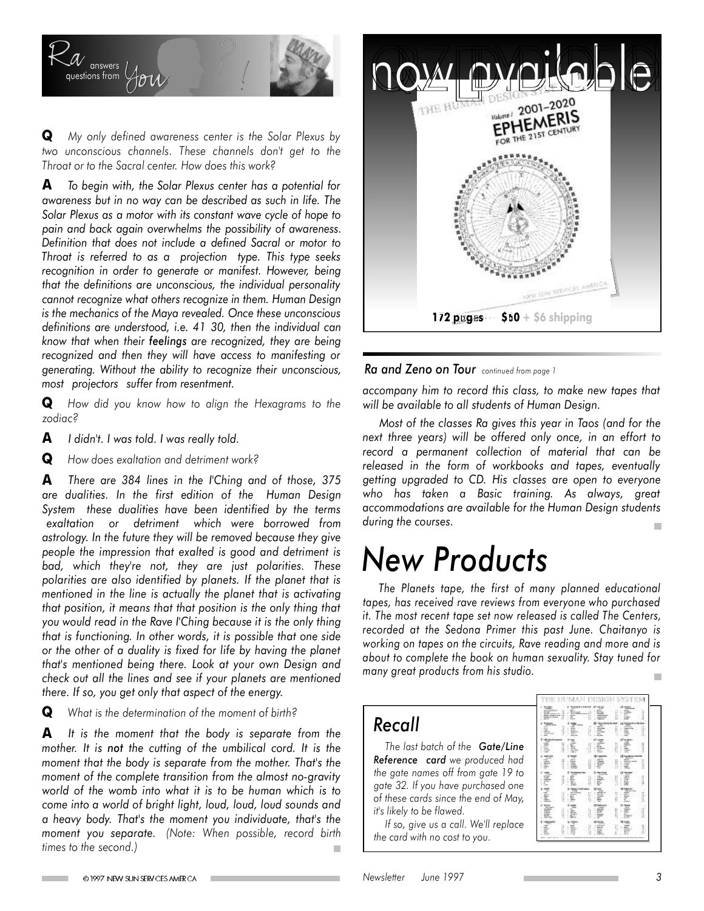

**Q** *My only defined awareness center is the Solar Plexus by two unconscious channels. These channels don't get to the Throat or to the Sacral center. How does this work?*

**A** *To begin with, the Solar Plexus center has a potential for awareness but in no way can be described as such in life. The Solar Plexus as a motor with its constant wave cycle of hope to pain and back again overwhelms the possibility of awareness. Definition that does not include a defined Sacral or motor to Throat is referred to as a projection type. This type seeks recognition in order to generate or manifest. However, being that the definitions are unconscious, the individual personality cannot recognize what others recognize in them. Human Design is the mechanics of the Maya revealed. Once these unconscious definitions are understood, i.e. 41 30, then the individual can know that when their feelings are recognized, they are being recognized and then they will have access to manifesting or generating. Without the ability to recognize their unconscious, most projectors suffer from resentment.*

**Q** *How did you know how to align the Hexagrams to the zodiac?*

**A** *I didn't. I was told. I was really told.*

**Q** *How does exaltation and detriment work?*

**A** *There are 384 lines in the I'Ching and of those, 375 are dualities. In the first edition of the Human Design System these dualities have been identified by the terms exaltation or detriment which were borrowed from astrology. In the future they will be removed because they give people the impression that exalted is good and detriment is bad, which they're not, they are just polarities. These polarities are also identified by planets. If the planet that is mentioned in the line is actually the planet that is activating that position, it means that that position is the only thing that you would read in the Rave I'Ching because it is the only thing that is functioning. In other words, it is possible that one side or the other of a duality is fixed for life by having the planet that's mentioned being there. Look at your own Design and check out all the lines and see if your planets are mentioned there. If so, you get only that aspect of the energy.*

**Q** *What is the determination of the moment of birth?*

**A** *It is the moment that the body is separate from the mother. It is not the cutting of the umbilical cord. It is the moment that the body is separate from the mother. That's the moment of the complete transition from the almost no-gravity world of the womb into what it is to be human which is to come into a world of bright light, loud, loud, loud sounds and a heavy body. That's the moment you individuate, that's the moment you separate. (Note: When possible, record birth times to the second.)*



*Ra and Zeno on Tour continued from page <sup>1</sup>*

*accompany him to record this class, to make new tapes that will be available to all students of Human Design.*

*Most of the classes Ra gives this year in Taos (and for the next three years) will be offered only once, in an effort to record a permanent collection of material that can be released in the form of workbooks and tapes, eventually getting upgraded to CD. His classes are open to everyone who has taken a Basic training. As always, great accommodations are available for the Human Design students during the courses.*

### *New Products*

*The Planets tape, the first of many planned educational tapes, has received rave reviews from everyone who purchased it. The most recent tape set now released is called The Centers, recorded at the Sedona Primer this past June. Chaitanyo is working on tapes on the circuits, Rave reading and more and is about to complete the book on human sexuality. Stay tuned for many great products from his studio.*m.

#### *Recall*

*The last batch of the Gate/Line Reference card we produced had the gate names off from gate 19 to gate 32. If you have purchased one of these cards since the end of May, it's likely to be flawed.*

*If so, give us a call. We'll replace the card with no cost to you.*